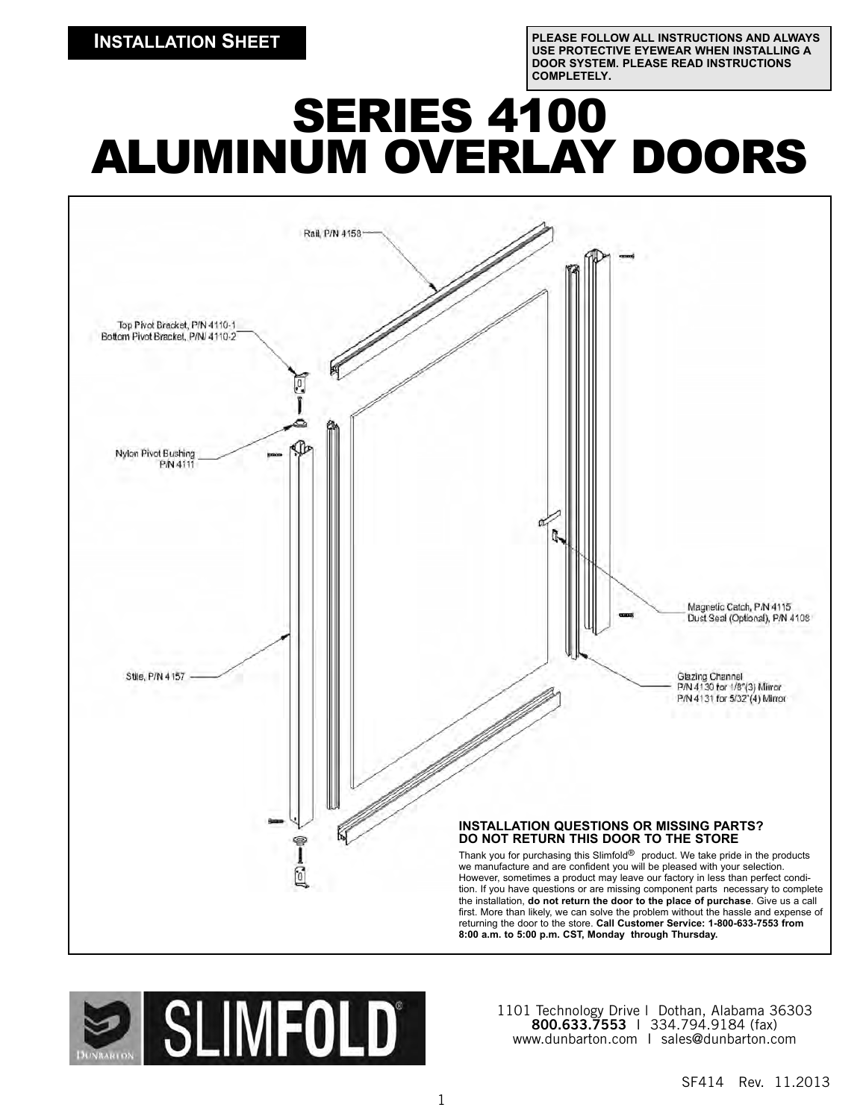**PLEASE FOLLOW ALL INSTRUCTIONS AND ALWAYS USE PROTECTIVE EYEWEAR WHEN INSTALLING A DOOR SYSTEM. PLEASE READ INSTRUCTIONS COMPLETELY.**

# **SERIES 4100** ALUMINUM OVERLAY DOORS





1101 Technology Drive l Dothan, Alabama 36303 **800.633.7553** I 334.794.9184 (fax) www.dunbarton.com I sales@dunbarton.com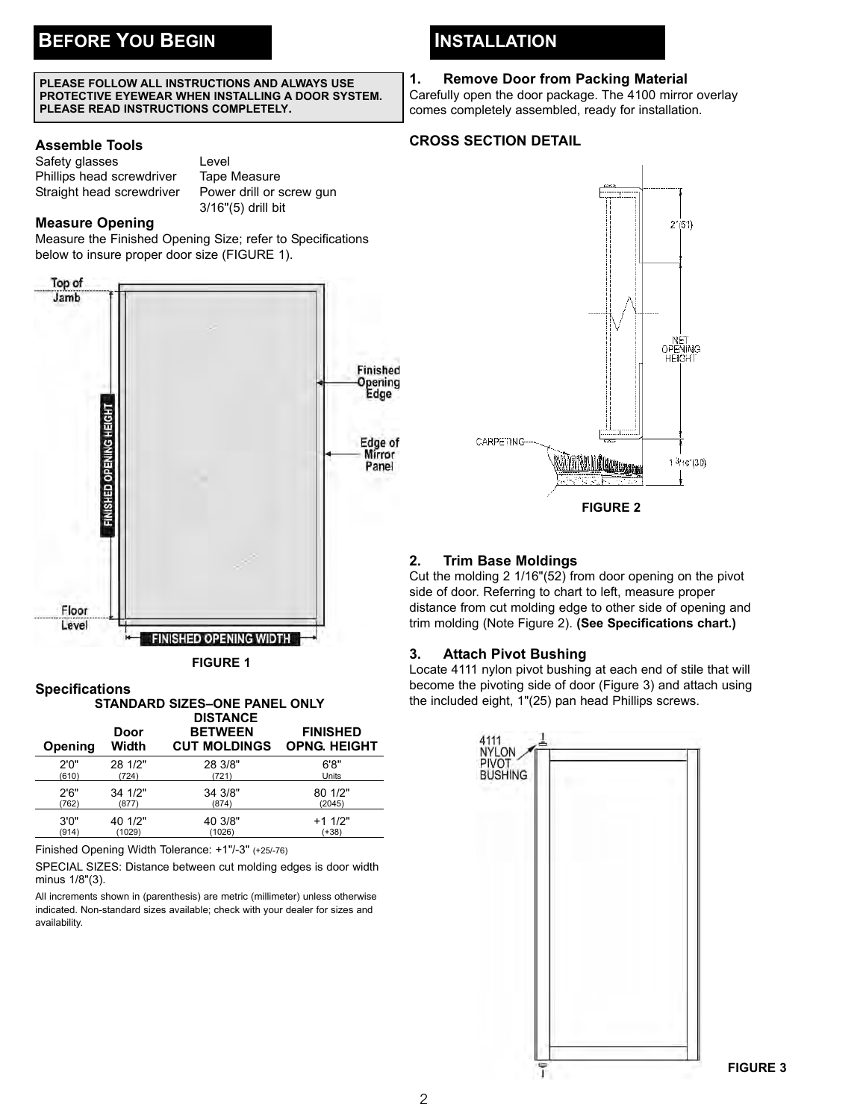#### **PLEASE FOLLOW ALL INSTRUCTIONS AND ALWAYS USE PROTECTIVE EYEWEAR WHEN INSTALLING A DOOR SYSTEM. PLEASE READ INSTRUCTIONS COMPLETELY.**

#### **Assemble Tools**

| Safety glasses            | Level |
|---------------------------|-------|
| Phillips head screwdriver | Tape  |
| Straight head screwdriver | Powe  |
|                           |       |

**Tape Measure** Power drill or screw gun 3/16"(5) drill bit

## **Measure Opening**

Measure the Finished Opening Size; refer to Specifications below to insure proper door size (FIGURE 1).



**FIGURE 1**



Finished Opening Width Tolerance: +1"/-3" (+25/-76)

SPECIAL SIZES: Distance between cut molding edges is door width minus 1/8"(3).

All increments shown in (parenthesis) are metric (millimeter) unless otherwise indicated. Non-standard sizes available; check with your dealer for sizes and availability.

# **INSTALLATION**

#### **1. Remove Door from Packing Material**

Carefully open the door package. The 4100 mirror overlay comes completely assembled, ready for installation.

## **CROSS SECTION DETAIL**



#### **2. Trim Base Moldings**

Cut the molding 2 1/16"(52) from door opening on the pivot side of door. Referring to chart to left, measure proper distance from cut molding edge to other side of opening and trim molding (Note Figure 2). **(See Specifications chart.)**

#### **3. Attach Pivot Bushing**

Locate 4111 nylon pivot bushing at each end of stile that will become the pivoting side of door (Figure 3) and attach using the included eight, 1"(25) pan head Phillips screws.



**FIGURE 3**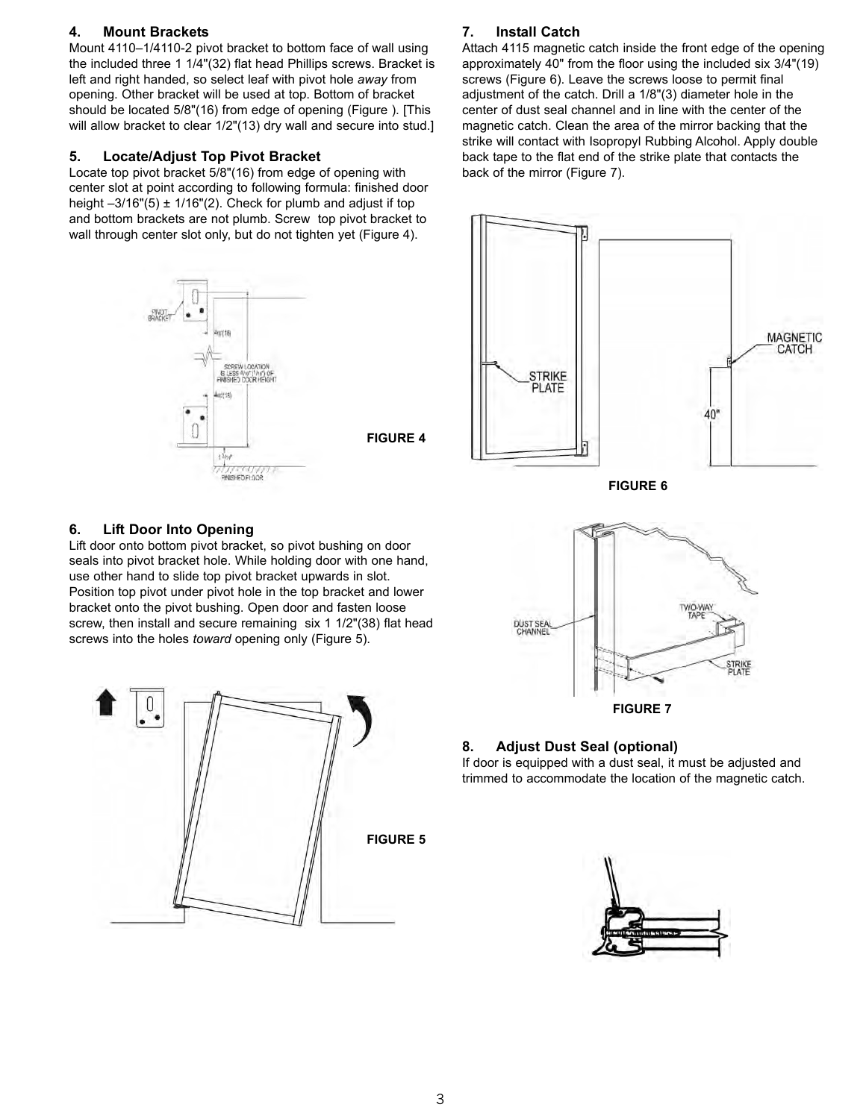#### **4. Mount Brackets**

Mount 4110–1/4110-2 pivot bracket to bottom face of wall using the included three 1 1/4"(32) flat head Phillips screws. Bracket is left and right handed, so select leaf with pivot hole *away* from opening. Other bracket will be used at top. Bottom of bracket should be located 5/8"(16) from edge of opening (Figure ). [This will allow bracket to clear  $1/2$ "(13) dry wall and secure into stud.]

#### **5. Locate/Adjust Top Pivot Bracket**

Locate top pivot bracket 5/8"(16) from edge of opening with center slot at point according to following formula: finished door height  $-3/16"$ (5)  $\pm$  1/16"(2). Check for plumb and adjust if top and bottom brackets are not plumb. Screw top pivot bracket to wall through center slot only, but do not tighten yet (Figure 4).



# **7. Install Catch**

Attach 4115 magnetic catch inside the front edge of the opening approximately 40" from the floor using the included six 3/4"(19) screws (Figure 6). Leave the screws loose to permit final adjustment of the catch. Drill a 1/8"(3) diameter hole in the center of dust seal channel and in line with the center of the magnetic catch. Clean the area of the mirror backing that the strike will contact with Isopropyl Rubbing Alcohol. Apply double back tape to the flat end of the strike plate that contacts the back of the mirror (Figure 7).



#### **6. Lift Door Into Opening**

Lift door onto bottom pivot bracket, so pivot bushing on door seals into pivot bracket hole. While holding door with one hand, use other hand to slide top pivot bracket upwards in slot. Position top pivot under pivot hole in the top bracket and lower bracket onto the pivot bushing. Open door and fasten loose screw, then install and secure remaining six 1 1/2"(38) flat head screws into the holes *toward* opening only (Figure 5).





#### **8. Adjust Dust Seal (optional)**

If door is equipped with a dust seal, it must be adjusted and trimmed to accommodate the location of the magnetic catch.